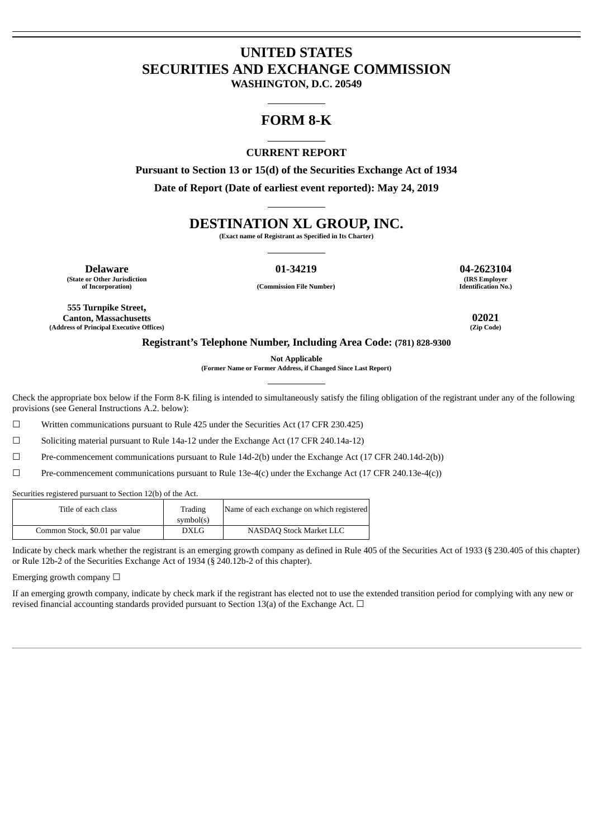# **UNITED STATES SECURITIES AND EXCHANGE COMMISSION**

**WASHINGTON, D.C. 20549**

# **FORM 8-K**

# **CURRENT REPORT**

**Pursuant to Section 13 or 15(d) of the Securities Exchange Act of 1934 Date of Report (Date of earliest event reported): May 24, 2019**

# **DESTINATION XL GROUP, INC.**

**(Exact name of Registrant as Specified in Its Charter)**

**(State or Other Jurisdiction**

**Delaware 01-34219 04-2623104 (IRS Employer**

**of Incorporation) (Commission File Number)**

**Identification No.)**

**555 Turnpike Street, Canton, Massachusetts 02021 (Address of Principal Executive Offices)** 

# **Registrant's Telephone Number, Including Area Code: (781) 828-9300**

**Not Applicable**

**(Former Name or Former Address, if Changed Since Last Report)**

Check the appropriate box below if the Form 8-K filing is intended to simultaneously satisfy the filing obligation of the registrant under any of the following provisions (see General Instructions A.2. below):

☐ Written communications pursuant to Rule 425 under the Securities Act (17 CFR 230.425)

☐ Soliciting material pursuant to Rule 14a-12 under the Exchange Act (17 CFR 240.14a-12)

☐ Pre-commencement communications pursuant to Rule 14d-2(b) under the Exchange Act (17 CFR 240.14d-2(b))

☐ Pre-commencement communications pursuant to Rule 13e-4(c) under the Exchange Act (17 CFR 240.13e-4(c))

Securities registered pursuant to Section 12(b) of the Act.

| Title of each class            | Trading<br>symbol(s) | Name of each exchange on which registered |
|--------------------------------|----------------------|-------------------------------------------|
| Common Stock, \$0.01 par value | DXLG                 | NASDAO Stock Market LLC                   |

Indicate by check mark whether the registrant is an emerging growth company as defined in Rule 405 of the Securities Act of 1933 (§ 230.405 of this chapter) or Rule 12b-2 of the Securities Exchange Act of 1934 (§ 240.12b-2 of this chapter).

Emerging growth company  $\Box$ 

If an emerging growth company, indicate by check mark if the registrant has elected not to use the extended transition period for complying with any new or revised financial accounting standards provided pursuant to Section 13(a) of the Exchange Act.  $\Box$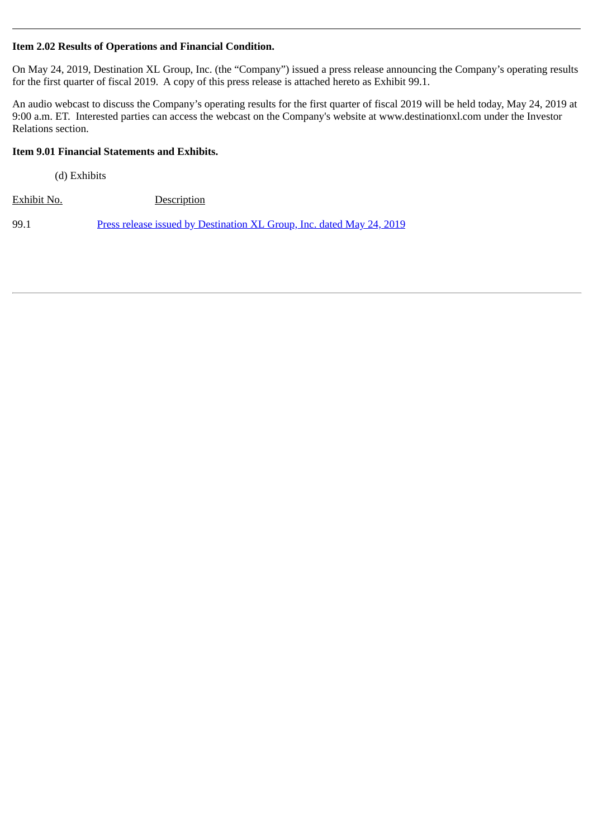# **Item 2.02 Results of Operations and Financial Condition.**

On May 24, 2019, Destination XL Group, Inc. (the "Company") issued a press release announcing the Company's operating results for the first quarter of fiscal 2019. A copy of this press release is attached hereto as Exhibit 99.1.

An audio webcast to discuss the Company's operating results for the first quarter of fiscal 2019 will be held today, May 24, 2019 at 9:00 a.m. ET. Interested parties can access the webcast on the Company's website at www.destinationxl.com under the Investor Relations section.

# **Item 9.01 Financial Statements and Exhibits.**

(d) Exhibits

Exhibit No. Description

99.1 [Press release issued by Destination XL Group, Inc. dated May 24, 2019](#page-3-0)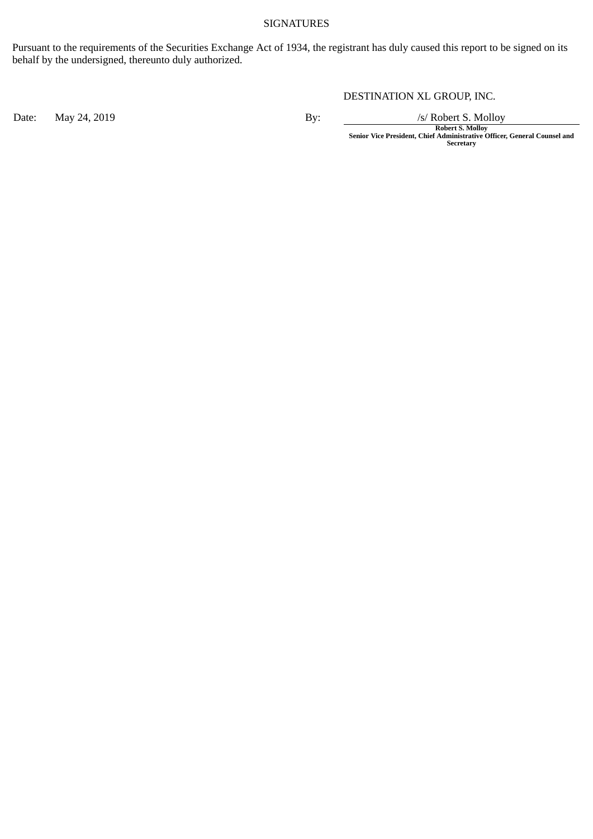# SIGNATURES

Pursuant to the requirements of the Securities Exchange Act of 1934, the registrant has duly caused this report to be signed on its behalf by the undersigned, thereunto duly authorized.

DESTINATION XL GROUP, INC.

Date: May 24, 2019 By: By: /s/ Robert S. Molloy

**Robert S. Molloy Senior Vice President, Chief Administrative Officer, General Counsel and Secretary**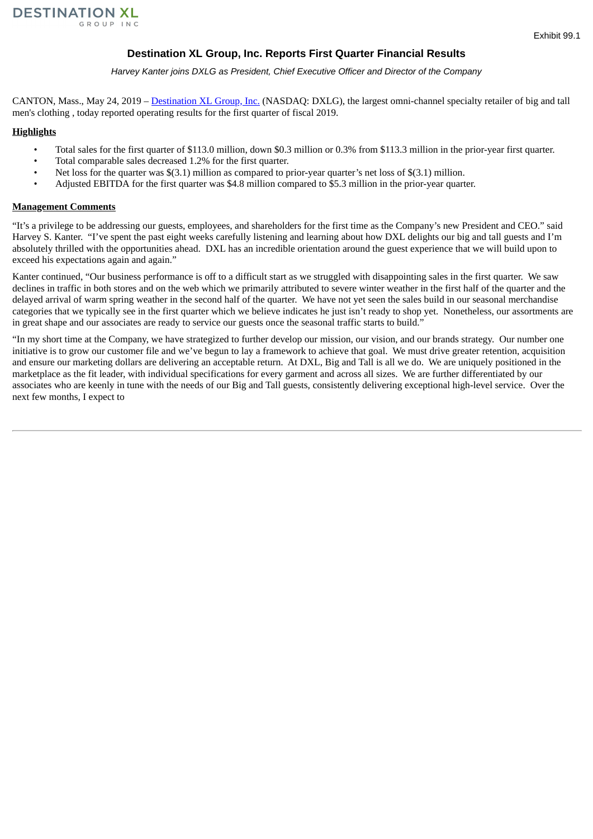# **Destination XL Group, Inc. Reports First Quarter Financial Results**

*Harvey Kanter joins DXLG as President, Chief Executive Officer and Director of the Company*

<span id="page-3-0"></span>CANTON, Mass., May 24, 2019 – Destination XL Group, Inc. (NASDAQ: DXLG), the largest omni-channel specialty retailer of big and tall men's clothing , today reported operating results for the first quarter of fiscal 2019.

# **Highlights**

- Total sales for the first quarter of \$113.0 million, down \$0.3 million or 0.3% from \$113.3 million in the prior-year first quarter.
- Total comparable sales decreased 1.2% for the first quarter.
- Net loss for the quarter was \$(3.1) million as compared to prior-year quarter's net loss of \$(3.1) million.
- Adjusted EBITDA for the first quarter was \$4.8 million compared to \$5.3 million in the prior-year quarter.

# **Management Comments**

"It's a privilege to be addressing our guests, employees, and shareholders for the first time as the Company's new President and CEO." said Harvey S. Kanter. "I've spent the past eight weeks carefully listening and learning about how DXL delights our big and tall guests and I'm absolutely thrilled with the opportunities ahead. DXL has an incredible orientation around the guest experience that we will build upon to exceed his expectations again and again."

Kanter continued, "Our business performance is off to a difficult start as we struggled with disappointing sales in the first quarter. We saw declines in traffic in both stores and on the web which we primarily attributed to severe winter weather in the first half of the quarter and the delayed arrival of warm spring weather in the second half of the quarter. We have not yet seen the sales build in our seasonal merchandise categories that we typically see in the first quarter which we believe indicates he just isn't ready to shop yet. Nonetheless, our assortments are in great shape and our associates are ready to service our guests once the seasonal traffic starts to build."

"In my short time at the Company, we have strategized to further develop our mission, our vision, and our brands strategy. Our number one initiative is to grow our customer file and we've begun to lay a framework to achieve that goal. We must drive greater retention, acquisition and ensure our marketing dollars are delivering an acceptable return. At DXL, Big and Tall is all we do. We are uniquely positioned in the marketplace as the fit leader, with individual specifications for every garment and across all sizes. We are further differentiated by our associates who are keenly in tune with the needs of our Big and Tall guests, consistently delivering exceptional high-level service. Over the next few months, I expect to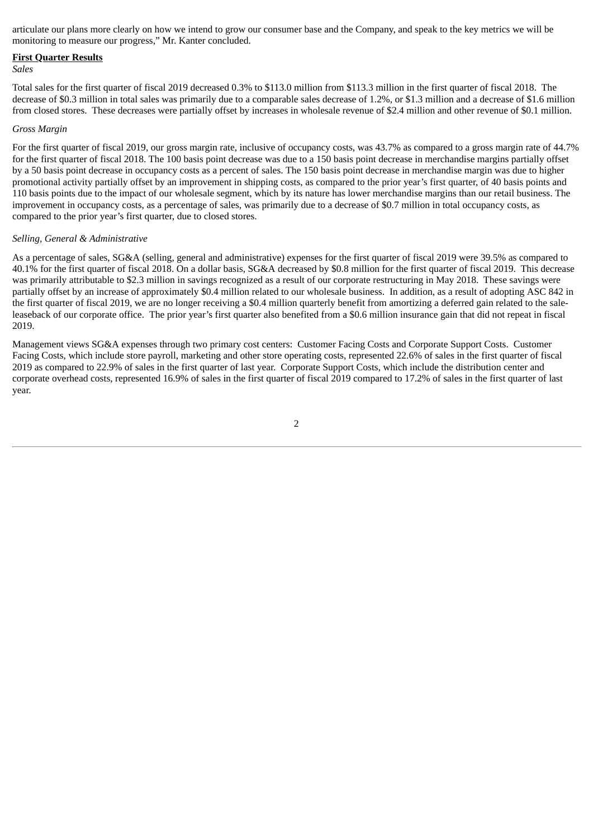articulate our plans more clearly on how we intend to grow our consumer base and the Company, and speak to the key metrics we will be monitoring to measure our progress," Mr. Kanter concluded.

#### **First Quarter Results**

#### *Sales*

Total sales for the first quarter of fiscal 2019 decreased 0.3% to \$113.0 million from \$113.3 million in the first quarter of fiscal 2018. The decrease of \$0.3 million in total sales was primarily due to a comparable sales decrease of 1.2%, or \$1.3 million and a decrease of \$1.6 million from closed stores. These decreases were partially offset by increases in wholesale revenue of \$2.4 million and other revenue of \$0.1 million.

#### *Gross Margin*

For the first quarter of fiscal 2019, our gross margin rate, inclusive of occupancy costs, was 43.7% as compared to a gross margin rate of 44.7% for the first quarter of fiscal 2018. The 100 basis point decrease was due to a 150 basis point decrease in merchandise margins partially offset by a 50 basis point decrease in occupancy costs as a percent of sales. The 150 basis point decrease in merchandise margin was due to higher promotional activity partially offset by an improvement in shipping costs, as compared to the prior year's first quarter, of 40 basis points and 110 basis points due to the impact of our wholesale segment, which by its nature has lower merchandise margins than our retail business. The improvement in occupancy costs, as a percentage of sales, was primarily due to a decrease of \$0.7 million in total occupancy costs, as compared to the prior year's first quarter, due to closed stores.

#### *Selling, General & Administrative*

As a percentage of sales, SG&A (selling, general and administrative) expenses for the first quarter of fiscal 2019 were 39.5% as compared to 40.1% for the first quarter of fiscal 2018. On a dollar basis, SG&A decreased by \$0.8 million for the first quarter of fiscal 2019. This decrease was primarily attributable to \$2.3 million in savings recognized as a result of our corporate restructuring in May 2018. These savings were partially offset by an increase of approximately \$0.4 million related to our wholesale business. In addition, as a result of adopting ASC 842 in the first quarter of fiscal 2019, we are no longer receiving a \$0.4 million quarterly benefit from amortizing a deferred gain related to the saleleaseback of our corporate office. The prior year's first quarter also benefited from a \$0.6 million insurance gain that did not repeat in fiscal 2019.

Management views SG&A expenses through two primary cost centers: Customer Facing Costs and Corporate Support Costs. Customer Facing Costs, which include store payroll, marketing and other store operating costs, represented 22.6% of sales in the first quarter of fiscal 2019 as compared to 22.9% of sales in the first quarter of last year. Corporate Support Costs, which include the distribution center and corporate overhead costs, represented 16.9% of sales in the first quarter of fiscal 2019 compared to 17.2% of sales in the first quarter of last year.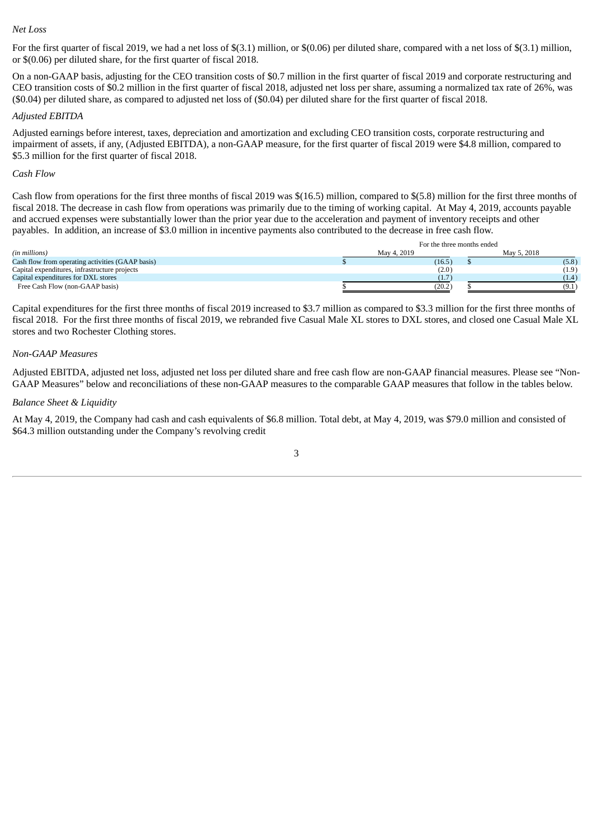#### *Net Loss*

For the first quarter of fiscal 2019, we had a net loss of \$(3.1) million, or \$(0.06) per diluted share, compared with a net loss of \$(3.1) million, or \$(0.06) per diluted share, for the first quarter of fiscal 2018.

On a non-GAAP basis, adjusting for the CEO transition costs of \$0.7 million in the first quarter of fiscal 2019 and corporate restructuring and CEO transition costs of \$0.2 million in the first quarter of fiscal 2018, adjusted net loss per share, assuming a normalized tax rate of 26%, was (\$0.04) per diluted share, as compared to adjusted net loss of (\$0.04) per diluted share for the first quarter of fiscal 2018.

### *Adjusted EBITDA*

Adjusted earnings before interest, taxes, depreciation and amortization and excluding CEO transition costs, corporate restructuring and impairment of assets, if any, (Adjusted EBITDA), a non-GAAP measure, for the first quarter of fiscal 2019 were \$4.8 million, compared to \$5.3 million for the first quarter of fiscal 2018.

### *Cash Flow*

Cash flow from operations for the first three months of fiscal 2019 was \$(16.5) million, compared to \$(5.8) million for the first three months of fiscal 2018. The decrease in cash flow from operations was primarily due to the timing of working capital. At May 4, 2019, accounts payable and accrued expenses were substantially lower than the prior year due to the acceleration and payment of inventory receipts and other payables. In addition, an increase of \$3.0 million in incentive payments also contributed to the decrease in free cash flow.

|                                                  | For the three months ended |  |             |  |  |
|--------------------------------------------------|----------------------------|--|-------------|--|--|
| (in millions)                                    | May 4, 2019                |  | May 5, 2018 |  |  |
| Cash flow from operating activities (GAAP basis) | (16.5)                     |  | (5.8)       |  |  |
| Capital expenditures, infrastructure projects    | (2.0)                      |  | (1.9)       |  |  |
| Capital expenditures for DXL stores              | (1.7)                      |  | (1.4)       |  |  |
| Free Cash Flow (non-GAAP basis)                  | (20.2)                     |  |             |  |  |

Capital expenditures for the first three months of fiscal 2019 increased to \$3.7 million as compared to \$3.3 million for the first three months of fiscal 2018. For the first three months of fiscal 2019, we rebranded five Casual Male XL stores to DXL stores, and closed one Casual Male XL stores and two Rochester Clothing stores.

#### *Non-GAAP Measures*

Adjusted EBITDA, adjusted net loss, adjusted net loss per diluted share and free cash flow are non-GAAP financial measures. Please see "Non-GAAP Measures" below and reconciliations of these non-GAAP measures to the comparable GAAP measures that follow in the tables below.

#### *Balance Sheet & Liquidity*

At May 4, 2019, the Company had cash and cash equivalents of \$6.8 million. Total debt, at May 4, 2019, was \$79.0 million and consisted of \$64.3 million outstanding under the Company's revolving credit

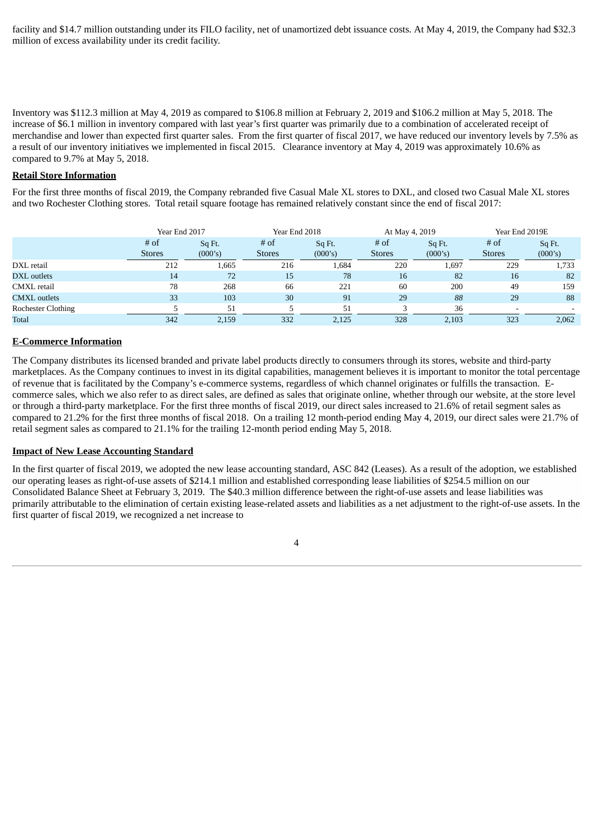facility and \$14.7 million outstanding under its FILO facility, net of unamortized debt issuance costs. At May 4, 2019, the Company had \$32.3 million of excess availability under its credit facility.

Inventory was \$112.3 million at May 4, 2019 as compared to \$106.8 million at February 2, 2019 and \$106.2 million at May 5, 2018. The increase of \$6.1 million in inventory compared with last year's first quarter was primarily due to a combination of accelerated receipt of merchandise and lower than expected first quarter sales. From the first quarter of fiscal 2017, we have reduced our inventory levels by 7.5% as a result of our inventory initiatives we implemented in fiscal 2015. Clearance inventory at May 4, 2019 was approximately 10.6% as compared to 9.7% at May 5, 2018.

### **Retail Store Information**

For the first three months of fiscal 2019, the Company rebranded five Casual Male XL stores to DXL, and closed two Casual Male XL stores and two Rochester Clothing stores. Total retail square footage has remained relatively constant since the end of fiscal 2017:

|                           | Year End 2017         |                   | Year End 2018         |                   | At May 4, 2019          |                   | Year End 2019E        |                   |  |
|---------------------------|-----------------------|-------------------|-----------------------|-------------------|-------------------------|-------------------|-----------------------|-------------------|--|
|                           | # of<br><b>Stores</b> | Sq Ft.<br>(000's) | # of<br><b>Stores</b> | Sq Ft.<br>(000's) | $#$ of<br><b>Stores</b> | Sq Ft.<br>(000's) | # of<br><b>Stores</b> | Sq Ft.<br>(000's) |  |
| DXL retail                | 212                   | 1,665             | 216                   | 1,684             | 220                     | 1,697             | 229                   | 1,733             |  |
| DXL outlets               | 14                    | 72                | 15                    | 78                | 16                      | 82                | 16                    | 82                |  |
| CMXL retail               | 78                    | 268               | 66                    | 221               | 60                      | 200               | 49                    | 159               |  |
| <b>CMXL</b> outlets       | 33                    | 103               | 30                    | 91                | 29                      | 88                | 29                    | 88                |  |
| <b>Rochester Clothing</b> |                       | 51                |                       | 51                |                         | 36                |                       |                   |  |
| <b>Total</b>              | 342                   | 2.159             | 332                   | 2,125             | 328                     | 2.103             | 323                   | 2,062             |  |

#### **E-Commerce Information**

The Company distributes its licensed branded and private label products directly to consumers through its stores, website and third-party marketplaces. As the Company continues to invest in its digital capabilities, management believes it is important to monitor the total percentage of revenue that is facilitated by the Company's e-commerce systems, regardless of which channel originates or fulfills the transaction. Ecommerce sales, which we also refer to as direct sales, are defined as sales that originate online, whether through our website, at the store level or through a third-party marketplace. For the first three months of fiscal 2019, our direct sales increased to 21.6% of retail segment sales as compared to 21.2% for the first three months of fiscal 2018. On a trailing 12 month-period ending May 4, 2019, our direct sales were 21.7% of retail segment sales as compared to 21.1% for the trailing 12-month period ending May 5, 2018.

# **Impact of New Lease Accounting Standard**

In the first quarter of fiscal 2019, we adopted the new lease accounting standard, ASC 842 (Leases). As a result of the adoption, we established our operating leases as right-of-use assets of \$214.1 million and established corresponding lease liabilities of \$254.5 million on our Consolidated Balance Sheet at February 3, 2019. The \$40.3 million difference between the right-of-use assets and lease liabilities was primarily attributable to the elimination of certain existing lease-related assets and liabilities as a net adjustment to the right-of-use assets. In the first quarter of fiscal 2019, we recognized a net increase to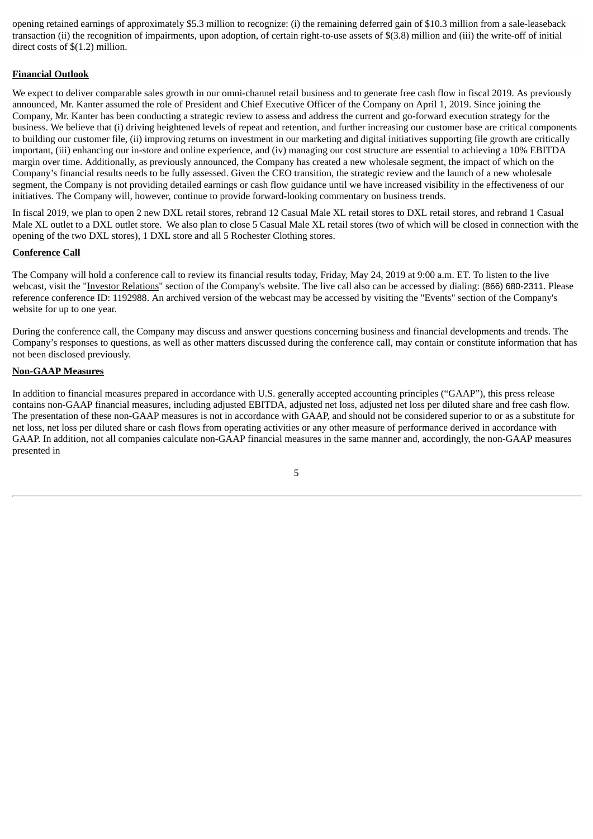opening retained earnings of approximately \$5.3 million to recognize: (i) the remaining deferred gain of \$10.3 million from a sale-leaseback transaction (ii) the recognition of impairments, upon adoption, of certain right-to-use assets of \$(3.8) million and (iii) the write-off of initial direct costs of \$(1.2) million.

# **Financial Outlook**

We expect to deliver comparable sales growth in our omni-channel retail business and to generate free cash flow in fiscal 2019. As previously announced, Mr. Kanter assumed the role of President and Chief Executive Officer of the Company on April 1, 2019. Since joining the Company, Mr. Kanter has been conducting a strategic review to assess and address the current and go-forward execution strategy for the business. We believe that (i) driving heightened levels of repeat and retention, and further increasing our customer base are critical components to building our customer file, (ii) improving returns on investment in our marketing and digital initiatives supporting file growth are critically important, (iii) enhancing our in-store and online experience, and (iv) managing our cost structure are essential to achieving a 10% EBITDA margin over time. Additionally, as previously announced, the Company has created a new wholesale segment, the impact of which on the Company's financial results needs to be fully assessed. Given the CEO transition, the strategic review and the launch of a new wholesale segment, the Company is not providing detailed earnings or cash flow guidance until we have increased visibility in the effectiveness of our initiatives. The Company will, however, continue to provide forward-looking commentary on business trends.

In fiscal 2019, we plan to open 2 new DXL retail stores, rebrand 12 Casual Male XL retail stores to DXL retail stores, and rebrand 1 Casual Male XL outlet to a DXL outlet store. We also plan to close 5 Casual Male XL retail stores (two of which will be closed in connection with the opening of the two DXL stores), 1 DXL store and all 5 Rochester Clothing stores.

# **Conference Call**

The Company will hold a conference call to review its financial results today, Friday, May 24, 2019 at 9:00 a.m. ET. To listen to the live webcast, visit the "Investor Relations" section of the Company's website. The live call also can be accessed by dialing: (866) 680-2311. Please reference conference ID: 1192988. An archived version of the webcast may be accessed by visiting the "Events" section of the Company's website for up to one year.

During the conference call, the Company may discuss and answer questions concerning business and financial developments and trends. The Company's responses to questions, as well as other matters discussed during the conference call, may contain or constitute information that has not been disclosed previously.

# **Non-GAAP Measures**

In addition to financial measures prepared in accordance with U.S. generally accepted accounting principles ("GAAP"), this press release contains non-GAAP financial measures, including adjusted EBITDA, adjusted net loss, adjusted net loss per diluted share and free cash flow. The presentation of these non-GAAP measures is not in accordance with GAAP, and should not be considered superior to or as a substitute for net loss, net loss per diluted share or cash flows from operating activities or any other measure of performance derived in accordance with GAAP. In addition, not all companies calculate non-GAAP financial measures in the same manner and, accordingly, the non-GAAP measures presented in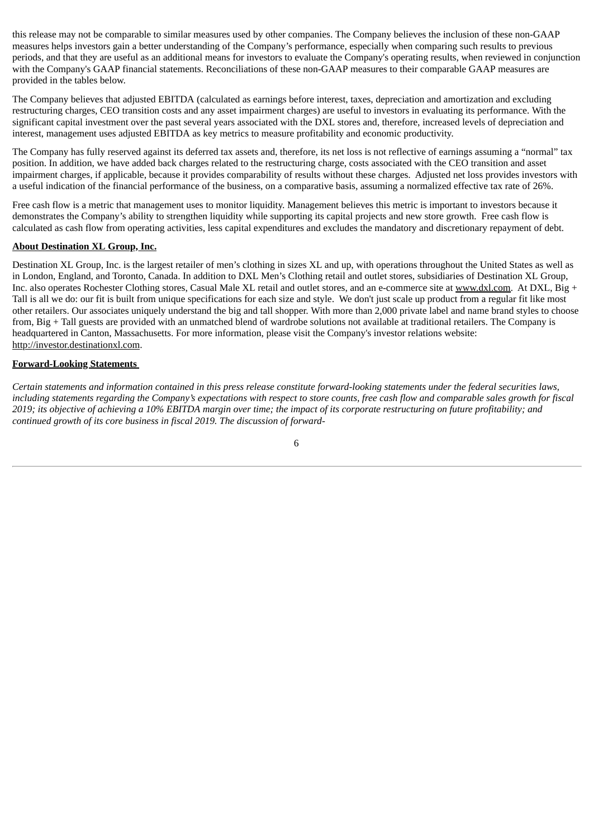this release may not be comparable to similar measures used by other companies. The Company believes the inclusion of these non-GAAP measures helps investors gain a better understanding of the Company's performance, especially when comparing such results to previous periods, and that they are useful as an additional means for investors to evaluate the Company's operating results, when reviewed in conjunction with the Company's GAAP financial statements. Reconciliations of these non-GAAP measures to their comparable GAAP measures are provided in the tables below.

The Company believes that adjusted EBITDA (calculated as earnings before interest, taxes, depreciation and amortization and excluding restructuring charges, CEO transition costs and any asset impairment charges) are useful to investors in evaluating its performance. With the significant capital investment over the past several years associated with the DXL stores and, therefore, increased levels of depreciation and interest, management uses adjusted EBITDA as key metrics to measure profitability and economic productivity.

The Company has fully reserved against its deferred tax assets and, therefore, its net loss is not reflective of earnings assuming a "normal" tax position. In addition, we have added back charges related to the restructuring charge, costs associated with the CEO transition and asset impairment charges, if applicable, because it provides comparability of results without these charges. Adjusted net loss provides investors with a useful indication of the financial performance of the business, on a comparative basis, assuming a normalized effective tax rate of 26%.

Free cash flow is a metric that management uses to monitor liquidity. Management believes this metric is important to investors because it demonstrates the Company's ability to strengthen liquidity while supporting its capital projects and new store growth. Free cash flow is calculated as cash flow from operating activities, less capital expenditures and excludes the mandatory and discretionary repayment of debt.

# **About Destination XL Group, Inc.**

Destination XL Group, Inc. is the largest retailer of men's clothing in sizes XL and up, with operations throughout the United States as well as in London, England, and Toronto, Canada. In addition to DXL Men's Clothing retail and outlet stores, subsidiaries of Destination XL Group, Inc. also operates Rochester Clothing stores, Casual Male XL retail and outlet stores, and an e-commerce site at www.dxl.com. At DXL, Big + Tall is all we do: our fit is built from unique specifications for each size and style. We don't just scale up product from a regular fit like most other retailers. Our associates uniquely understand the big and tall shopper. With more than 2,000 private label and name brand styles to choose from, Big + Tall guests are provided with an unmatched blend of wardrobe solutions not available at traditional retailers. The Company is headquartered in Canton, Massachusetts. For more information, please visit the Company's investor relations website: http://investor.destinationxl.com.

# **Forward-Looking Statements**

Certain statements and information contained in this press release constitute forward-looking statements under the federal securities laws, including statements regarding the Company's expectations with respect to store counts, free cash flow and comparable sales growth for fiscal 2019; its objective of achieving a 10% EBITDA margin over time; the impact of its corporate restructuring on future profitability; and *continued growth of its core business in fiscal 2019. The discussion of forward-*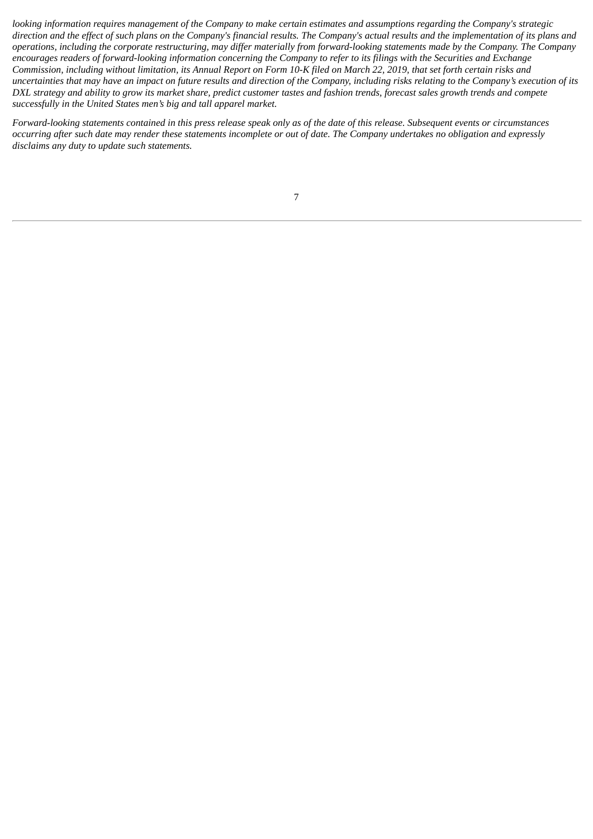looking information requires management of the Company to make certain estimates and assumptions regarding the Company's strategic direction and the effect of such plans on the Company's financial results. The Company's actual results and the implementation of its plans and operations, including the corporate restructuring, may differ materially from forward-looking statements made by the Company. The Company encourages readers of forward-looking information concerning the Company to refer to its filings with the Securities and Exchange Commission, including without limitation, its Annual Report on Form 10-K filed on March 22, 2019, that set forth certain risks and uncertainties that may have an impact on future results and direction of the Company, including risks relating to the Company's execution of its DXL strategy and ability to grow its market share, predict customer tastes and fashion trends, forecast sales growth trends and compete *successfully in the United States men's big and tall apparel market.*

Forward-looking statements contained in this press release speak only as of the date of this release. Subsequent events or circumstances occurring after such date may render these statements incomplete or out of date. The Company undertakes no obligation and expressly *disclaims any duty to update such statements.*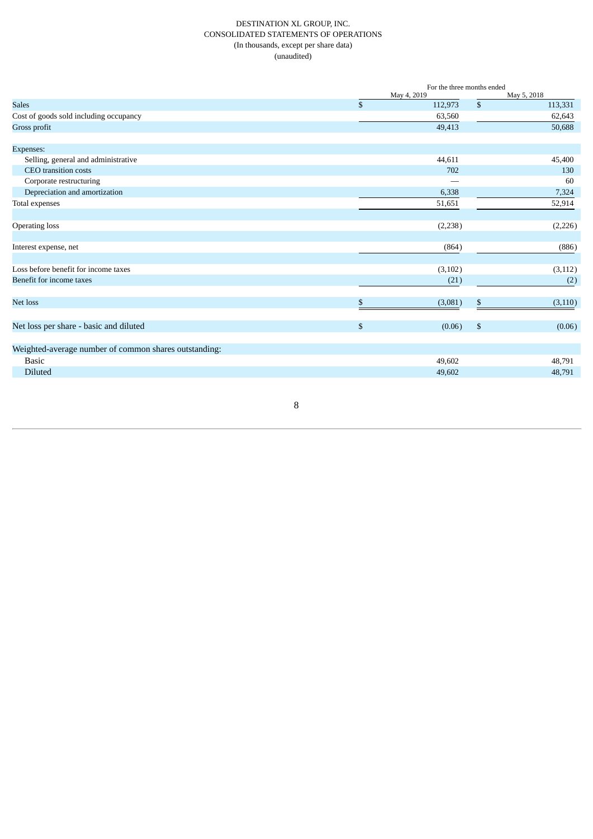# DESTINATION XL GROUP, INC. CONSOLIDATED STATEMENTS OF OPERATIONS (In thousands, except per share data) (unaudited)

|                                                       |                | For the three months ended |                |             |  |  |
|-------------------------------------------------------|----------------|----------------------------|----------------|-------------|--|--|
|                                                       |                | May 4, 2019                |                | May 5, 2018 |  |  |
| <b>Sales</b>                                          | \$             | 112,973                    | \$             | 113,331     |  |  |
| Cost of goods sold including occupancy                |                | 63,560                     |                | 62,643      |  |  |
| Gross profit                                          |                | 49,413                     |                | 50,688      |  |  |
| Expenses:                                             |                |                            |                |             |  |  |
| Selling, general and administrative                   |                | 44,611                     |                | 45,400      |  |  |
| CEO transition costs                                  |                | 702                        |                | 130         |  |  |
| Corporate restructuring                               |                |                            |                | 60          |  |  |
| Depreciation and amortization                         |                | 6,338                      |                | 7,324       |  |  |
| Total expenses                                        |                | 51,651                     |                | 52,914      |  |  |
| <b>Operating loss</b>                                 |                | (2, 238)                   |                | (2,226)     |  |  |
| Interest expense, net                                 |                | (864)                      |                | (886)       |  |  |
| Loss before benefit for income taxes                  |                | (3, 102)                   |                | (3, 112)    |  |  |
| Benefit for income taxes                              |                | (21)                       |                | (2)         |  |  |
| Net loss                                              | \$             | (3,081)                    | \$             | (3, 110)    |  |  |
| Net loss per share - basic and diluted                | $\mathfrak{S}$ | (0.06)                     | $\mathfrak{s}$ | (0.06)      |  |  |
| Weighted-average number of common shares outstanding: |                |                            |                |             |  |  |
| <b>Basic</b>                                          |                | 49,602                     |                | 48,791      |  |  |
| Diluted                                               |                | 49,602                     |                | 48,791      |  |  |

8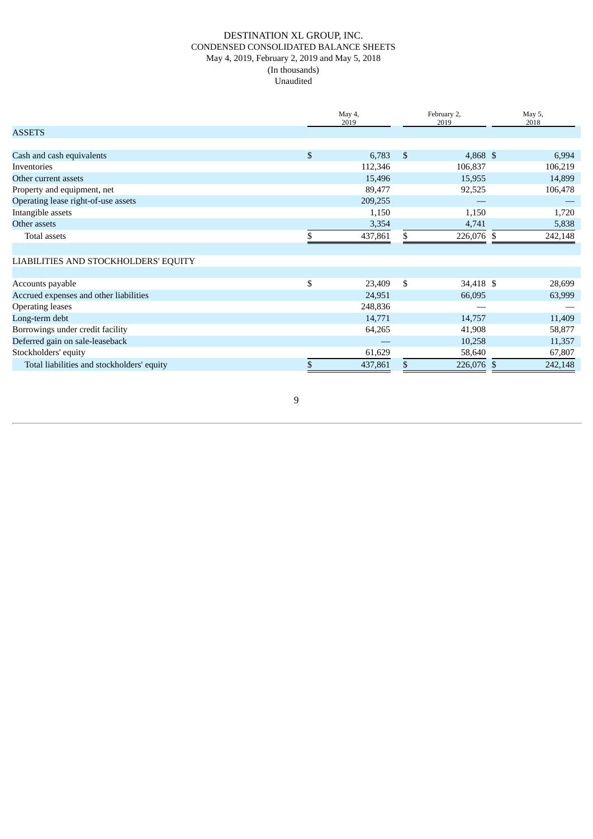# DESTINATION XL GROUP, INC. CONDENSED CONSOLIDATED BALANCE SHEETS May 4, 2019, February 2, 2019 and May 5, 2018 (In thousands) Unaudited

|                                            | May 4,<br>2019 | February 2,<br>2019 |  | May 5,<br>2018 |
|--------------------------------------------|----------------|---------------------|--|----------------|
| <b>ASSETS</b>                              |                |                     |  |                |
|                                            |                |                     |  |                |
| Cash and cash equivalents                  | \$<br>6,783    | \$<br>4,868 \$      |  | 6,994          |
| Inventories                                | 112,346        | 106,837             |  | 106,219        |
| Other current assets                       | 15,496         | 15,955              |  | 14,899         |
| Property and equipment, net                | 89,477         | 92,525              |  | 106,478        |
| Operating lease right-of-use assets        | 209,255        |                     |  |                |
| Intangible assets                          | 1,150          | 1,150               |  | 1,720          |
| Other assets                               | 3,354          | 4,741               |  | 5,838          |
| Total assets                               | 437,861        | \$<br>226,076 \$    |  | 242,148        |
|                                            |                |                     |  |                |
| LIABILITIES AND STOCKHOLDERS' EQUITY       |                |                     |  |                |
|                                            |                |                     |  |                |
| Accounts payable                           | \$<br>23,409   | \$<br>34,418 \$     |  | 28,699         |
| Accrued expenses and other liabilities     | 24,951         | 66,095              |  | 63,999         |
| <b>Operating leases</b>                    | 248,836        |                     |  |                |
| Long-term debt                             | 14,771         | 14,757              |  | 11,409         |
| Borrowings under credit facility           | 64,265         | 41,908              |  | 58,877         |
| Deferred gain on sale-leaseback            |                | 10,258              |  | 11,357         |
| Stockholders' equity                       | 61,629         | 58,640              |  | 67,807         |
| Total liabilities and stockholders' equity | \$<br>437,861  | \$<br>226,076 \$    |  | 242,148        |

9